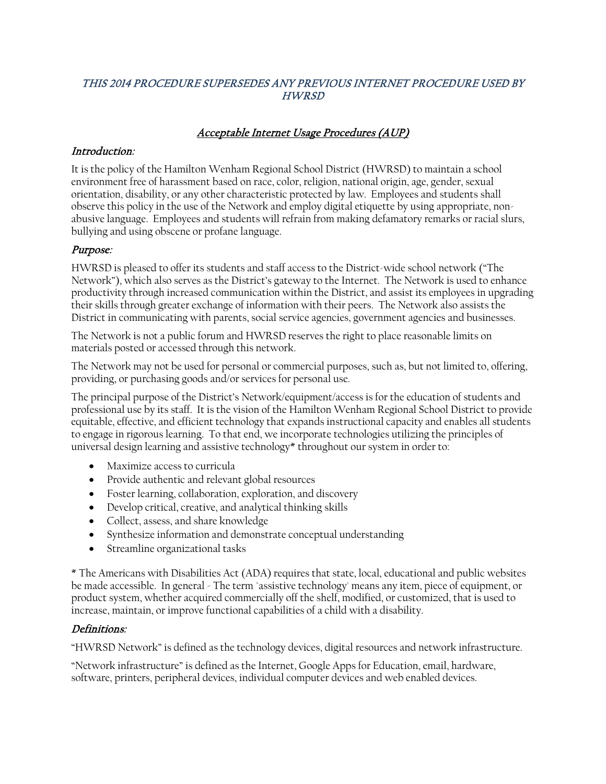#### THIS 2014 PROCEDURE SUPERSEDES ANY PREVIOUS INTERNET PROCEDURE USED BY HWRSD

## Acceptable Internet Usage Procedures (AUP)

#### Introduction:

It is the policy of the Hamilton Wenham Regional School District (HWRSD) to maintain a school environment free of harassment based on race, color, religion, national origin, age, gender, sexual orientation, disability, or any other characteristic protected by law. Employees and students shall observe this policy in the use of the Network and employ digital etiquette by using appropriate, nonabusive language. Employees and students will refrain from making defamatory remarks or racial slurs, bullying and using obscene or profane language.

#### Purpose:

HWRSD is pleased to offer its students and staff access to the District-wide school network ("The Network"), which also serves as the District's gateway to the Internet. The Network is used to enhance productivity through increased communication within the District, and assist its employees in upgrading their skills through greater exchange of information with their peers. The Network also assists the District in communicating with parents, social service agencies, government agencies and businesses.

The Network is not a public forum and HWRSD reserves the right to place reasonable limits on materials posted or accessed through this network.

The Network may not be used for personal or commercial purposes, such as, but not limited to, offering, providing, or purchasing goods and/or services for personal use.

The principal purpose of the District's Network/equipment/access is for the education of students and professional use by its staff. It is the vision of the Hamilton Wenham Regional School District to provide equitable, effective, and efficient technology that expands instructional capacity and enables all students to engage in rigorous learning. To that end, we incorporate technologies utilizing the principles of universal design learning and assistive technology\* throughout our system in order to:

- Maximize access to curricula
- Provide authentic and relevant global resources
- Foster learning, collaboration, exploration, and discovery
- Develop critical, creative, and analytical thinking skills
- Collect, assess, and share knowledge
- Synthesize information and demonstrate conceptual understanding
- Streamline organizational tasks

\* The Americans with Disabilities Act (ADA) requires that state, local, educational and public websites be made accessible. In general - The term `assistive technology' means any item, piece of equipment, or product system, whether acquired commercially off the shelf, modified, or customized, that is used to increase, maintain, or improve functional capabilities of a child with a disability.

#### Definitions:

"HWRSD Network" is defined as the technology devices, digital resources and network infrastructure.

"Network infrastructure" is defined as the Internet, Google Apps for Education, email, hardware, software, printers, peripheral devices, individual computer devices and web enabled devices.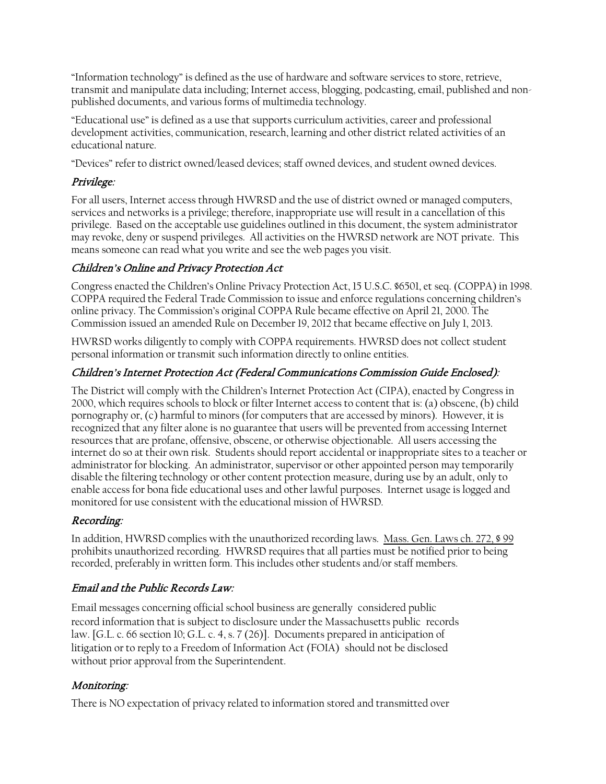"Information technology" is defined as the use of hardware and software services to store, retrieve, transmit and manipulate data including; Internet access, blogging, podcasting, email, published and nonpublished documents, and various forms of multimedia technology.

"Educational use" is defined as a use that supports curriculum activities, career and professional development activities, communication, research, learning and other district related activities of an educational nature.

"Devices" refer to district owned/leased devices; staff owned devices, and student owned devices.

## Privilege:

For all users, Internet access through HWRSD and the use of district owned or managed computers, services and networks is a privilege; therefore, inappropriate use will result in a cancellation of this privilege. Based on the acceptable use guidelines outlined in this document, the system administrator may revoke, deny or suspend privileges. All activities on the HWRSD network are NOT private. This means someone can read what you write and see the web pages you visit.

## Children's Online and Privacy Protection Act

Congress enacted the Children's Online Privacy Protection Act, 15 U.S.C. §6501, et seq. (COPPA) in 1998. COPPA required the Federal Trade Commission to issue and enforce regulations concerning children's online privacy. The Commission's original COPPA Rule became effective on April 21, 2000. The Commission issued an amended Rule on December 19, 2012 that became effective on July 1, 2013.

HWRSD works diligently to comply with COPPA requirements. HWRSD does not collect student personal information or transmit such information directly to online entities.

## Children's Internet Protection Act (Federal Communications Commission Guide Enclosed):

The District will comply with the Children's Internet Protection Act (CIPA), enacted by Congress in 2000, which requires schools to block or filter Internet access to content that is: (a) obscene, (b) child pornography or, (c) harmful to minors (for computers that are accessed by minors). However, it is recognized that any filter alone is no guarantee that users will be prevented from accessing Internet resources that are profane, offensive, obscene, or otherwise objectionable. All users accessing the internet do so at their own risk. Students should report accidental or inappropriate sites to a teacher or administrator for blocking. An administrator, supervisor or other appointed person may temporarily disable the filtering technology or other content protection measure, during use by an adult, only to enable access for bona fide educational uses and other lawful purposes. Internet usage is logged and monitored for use consistent with the educational mission of HWRSD.

# Recording:

In addition, HWRSD complies with the unauthorized recording laws. Mass. Gen. [Laws ch. 272, § 99](http://www.mass.gov/legis/laws/mgl/272-99.htm) prohibits unauthorized recording. HWRSD requires that all parties must be notified prior to being recorded, preferably in written form. This includes other students and/or staff members.

# Email and the Public Records Law:

Email messages concerning official school business are generally considered public record information that is subject to disclosure under the Massachusetts public records law. [G.L. c. 66 section 10; G.L. c. 4, s. 7 (26)]. Documents prepared in anticipation of litigation or to reply to a Freedom of Information Act (FOIA) should not be disclosed without prior approval from the Superintendent.

#### Monitoring:

There is NO expectation of privacy related to information stored and transmitted over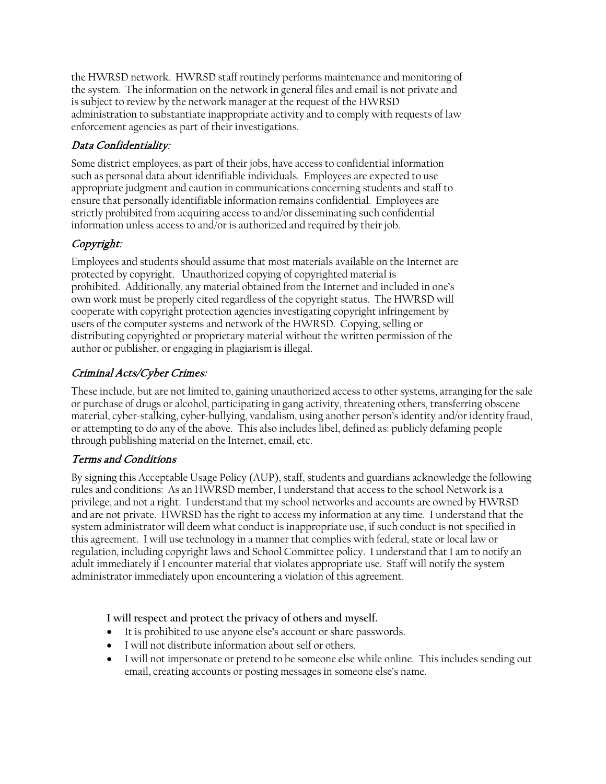the HWRSD network. HWRSD staff routinely performs maintenance and monitoring of the system. The information on the network in general files and email is not private and is subject to review by the network manager at the request of the HWRSD administration to substantiate inappropriate activity and to comply with requests of law enforcement agencies as part of their investigations.

# Data Confidentiality:

Some district employees, as part of their jobs, have access to confidential information such as personal data about identifiable individuals. Employees are expected to use appropriate judgment and caution in communications concerning students and staff to ensure that personally identifiable information remains confidential. Employees are strictly prohibited from acquiring access to and/or disseminating such confidential information unless access to and/or is authorized and required by their job.

# Copyright:

Employees and students should assume that most materials available on the Internet are protected by copyright. Unauthorized copying of copyrighted material is prohibited. Additionally, any material obtained from the Internet and included in one's own work must be properly cited regardless of the copyright status. The HWRSD will cooperate with copyright protection agencies investigating copyright infringement by users of the computer systems and network of the HWRSD. Copying, selling or distributing copyrighted or proprietary material without the written permission of the author or publisher, or engaging in plagiarism is illegal.

# Criminal Acts/Cyber Crimes:

These include, but are not limited to, gaining unauthorized access to other systems, arranging for the sale or purchase of drugs or alcohol, participating in gang activity, threatening others, transferring obscene material, cyber-stalking, cyber-bullying, vandalism, using another person's identity and/or identity fraud, or attempting to do any of the above. This also includes libel, defined as: publicly defaming people through publishing material on the Internet, email, etc.

# Terms and Conditions

By signing this Acceptable Usage Policy (AUP), staff, students and guardians acknowledge the following rules and conditions: As an HWRSD member, I understand that access to the school Network is a privilege, and not a right. I understand that my school networks and accounts are owned by HWRSD and are not private. HWRSD has the right to access my information at any time. I understand that the system administrator will deem what conduct is inappropriate use, if such conduct is not specified in this agreement. I will use technology in a manner that complies with federal, state or local law or regulation, including copyright laws and School Committee policy. I understand that I am to notify an adult immediately if I encounter material that violates appropriate use. Staff will notify the system administrator immediately upon encountering a violation of this agreement.

**I will respect and protect the privacy of others and myself.**

- It is prohibited to use anyone else's account or share passwords.
- I will not distribute information about self or others.
- I will not impersonate or pretend to be someone else while online. This includes sending out email, creating accounts or posting messages in someone else's name.